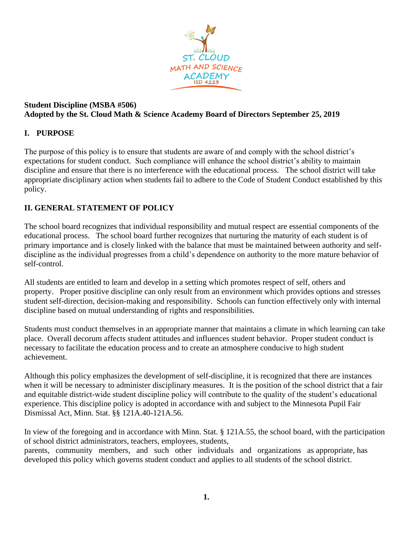

#### **Student Discipline (MSBA #506) Adopted by the St. Cloud Math & Science Academy Board of Directors September 25, 2019**

# **I. PURPOSE**

The purpose of this policy is to ensure that students are aware of and comply with the school district's expectations for student conduct. Such compliance will enhance the school district's ability to maintain discipline and ensure that there is no interference with the educational process. The school district will take appropriate disciplinary action when students fail to adhere to the Code of Student Conduct established by this policy.

# **II. GENERAL STATEMENT OF POLICY**

The school board recognizes that individual responsibility and mutual respect are essential components of the educational process. The school board further recognizes that nurturing the maturity of each student is of primary importance and is closely linked with the balance that must be maintained between authority and selfdiscipline as the individual progresses from a child's dependence on authority to the more mature behavior of self-control.

All students are entitled to learn and develop in a setting which promotes respect of self, others and property. Proper positive discipline can only result from an environment which provides options and stresses student self-direction, decision-making and responsibility. Schools can function effectively only with internal discipline based on mutual understanding of rights and responsibilities.

Students must conduct themselves in an appropriate manner that maintains a climate in which learning can take place. Overall decorum affects student attitudes and influences student behavior. Proper student conduct is necessary to facilitate the education process and to create an atmosphere conducive to high student achievement.

Although this policy emphasizes the development of self-discipline, it is recognized that there are instances when it will be necessary to administer disciplinary measures. It is the position of the school district that a fair and equitable district-wide student discipline policy will contribute to the quality of the student's educational experience. This discipline policy is adopted in accordance with and subject to the Minnesota Pupil Fair Dismissal Act, Minn. Stat. §§ 121A.40-121A.56.

In view of the foregoing and in accordance with Minn. Stat. § 121A.55, the school board, with the participation of school district administrators, teachers, employees, students, parents, community members, and such other individuals and organizations as appropriate, has

developed this policy which governs student conduct and applies to all students of the school district.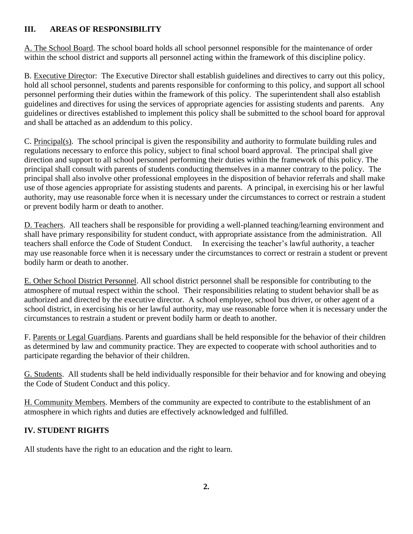# **III. AREAS OF RESPONSIBILITY**

A. The School Board. The school board holds all school personnel responsible for the maintenance of order within the school district and supports all personnel acting within the framework of this discipline policy.

B. Executive Director: The Executive Director shall establish guidelines and directives to carry out this policy, hold all school personnel, students and parents responsible for conforming to this policy, and support all school personnel performing their duties within the framework of this policy. The superintendent shall also establish guidelines and directives for using the services of appropriate agencies for assisting students and parents. Any guidelines or directives established to implement this policy shall be submitted to the school board for approval and shall be attached as an addendum to this policy.

C. Principal(s). The school principal is given the responsibility and authority to formulate building rules and regulations necessary to enforce this policy, subject to final school board approval. The principal shall give direction and support to all school personnel performing their duties within the framework of this policy. The principal shall consult with parents of students conducting themselves in a manner contrary to the policy. The principal shall also involve other professional employees in the disposition of behavior referrals and shall make use of those agencies appropriate for assisting students and parents. A principal, in exercising his or her lawful authority, may use reasonable force when it is necessary under the circumstances to correct or restrain a student or prevent bodily harm or death to another.

D. Teachers. All teachers shall be responsible for providing a well-planned teaching/learning environment and shall have primary responsibility for student conduct, with appropriate assistance from the administration. All teachers shall enforce the Code of Student Conduct. In exercising the teacher's lawful authority, a teacher may use reasonable force when it is necessary under the circumstances to correct or restrain a student or prevent bodily harm or death to another.

E. Other School District Personnel. All school district personnel shall be responsible for contributing to the atmosphere of mutual respect within the school. Their responsibilities relating to student behavior shall be as authorized and directed by the executive director. A school employee, school bus driver, or other agent of a school district, in exercising his or her lawful authority, may use reasonable force when it is necessary under the circumstances to restrain a student or prevent bodily harm or death to another.

F. Parents or Legal Guardians. Parents and guardians shall be held responsible for the behavior of their children as determined by law and community practice. They are expected to cooperate with school authorities and to participate regarding the behavior of their children.

G. Students. All students shall be held individually responsible for their behavior and for knowing and obeying the Code of Student Conduct and this policy.

H. Community Members. Members of the community are expected to contribute to the establishment of an atmosphere in which rights and duties are effectively acknowledged and fulfilled.

# **IV. STUDENT RIGHTS**

All students have the right to an education and the right to learn.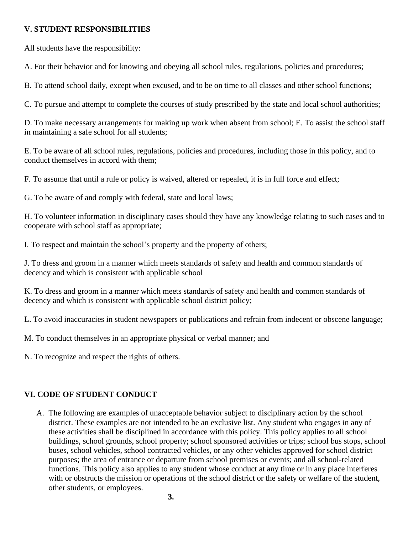#### **V. STUDENT RESPONSIBILITIES**

All students have the responsibility:

A. For their behavior and for knowing and obeying all school rules, regulations, policies and procedures;

B. To attend school daily, except when excused, and to be on time to all classes and other school functions;

C. To pursue and attempt to complete the courses of study prescribed by the state and local school authorities;

D. To make necessary arrangements for making up work when absent from school; E. To assist the school staff in maintaining a safe school for all students;

E. To be aware of all school rules, regulations, policies and procedures, including those in this policy, and to conduct themselves in accord with them;

F. To assume that until a rule or policy is waived, altered or repealed, it is in full force and effect;

G. To be aware of and comply with federal, state and local laws;

H. To volunteer information in disciplinary cases should they have any knowledge relating to such cases and to cooperate with school staff as appropriate;

I. To respect and maintain the school's property and the property of others;

J. To dress and groom in a manner which meets standards of safety and health and common standards of decency and which is consistent with applicable school

K. To dress and groom in a manner which meets standards of safety and health and common standards of decency and which is consistent with applicable school district policy;

L. To avoid inaccuracies in student newspapers or publications and refrain from indecent or obscene language;

M. To conduct themselves in an appropriate physical or verbal manner; and

N. To recognize and respect the rights of others.

# **VI. CODE OF STUDENT CONDUCT**

A. The following are examples of unacceptable behavior subject to disciplinary action by the school district. These examples are not intended to be an exclusive list. Any student who engages in any of these activities shall be disciplined in accordance with this policy. This policy applies to all school buildings, school grounds, school property; school sponsored activities or trips; school bus stops, school buses, school vehicles, school contracted vehicles, or any other vehicles approved for school district purposes; the area of entrance or departure from school premises or events; and all school-related functions. This policy also applies to any student whose conduct at any time or in any place interferes with or obstructs the mission or operations of the school district or the safety or welfare of the student, other students, or employees.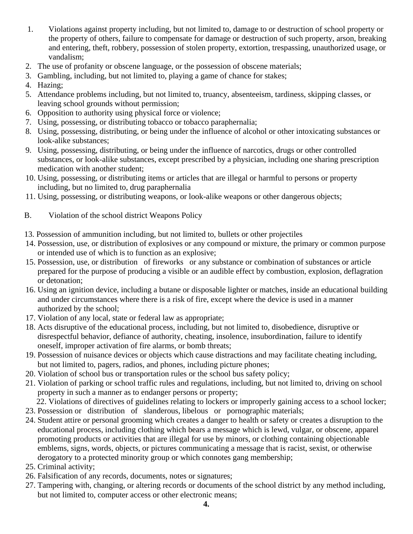- 1. Violations against property including, but not limited to, damage to or destruction of school property or the property of others, failure to compensate for damage or destruction of such property, arson, breaking and entering, theft, robbery, possession of stolen property, extortion, trespassing, unauthorized usage, or vandalism;
- 2. The use of profanity or obscene language, or the possession of obscene materials;
- 3. Gambling, including, but not limited to, playing a game of chance for stakes;
- 4. Hazing;
- 5. Attendance problems including, but not limited to, truancy, absenteeism, tardiness, skipping classes, or leaving school grounds without permission;
- 6. Opposition to authority using physical force or violence;
- 7. Using, possessing, or distributing tobacco or tobacco paraphernalia;
- 8. Using, possessing, distributing, or being under the influence of alcohol or other intoxicating substances or look-alike substances;
- 9. Using, possessing, distributing, or being under the influence of narcotics, drugs or other controlled substances, or look-alike substances, except prescribed by a physician, including one sharing prescription medication with another student;
- 10. Using, possessing, or distributing items or articles that are illegal or harmful to persons or property including, but no limited to, drug paraphernalia
- 11. Using, possessing, or distributing weapons, or look-alike weapons or other dangerous objects;
- B. Violation of the school district Weapons Policy
- 13. Possession of ammunition including, but not limited to, bullets or other projectiles
- 14. Possession, use, or distribution of explosives or any compound or mixture, the primary or common purpose or intended use of which is to function as an explosive;
- 15. Possession, use, or distribution of fireworks or any substance or combination of substances or article prepared for the purpose of producing a visible or an audible effect by combustion, explosion, deflagration or detonation;
- 16. Using an ignition device, including a butane or disposable lighter or matches, inside an educational building and under circumstances where there is a risk of fire, except where the device is used in a manner authorized by the school;
- 17. Violation of any local, state or federal law as appropriate;
- 18. Acts disruptive of the educational process, including, but not limited to, disobedience, disruptive or disrespectful behavior, defiance of authority, cheating, insolence, insubordination, failure to identify oneself, improper activation of fire alarms, or bomb threats;
- 19. Possession of nuisance devices or objects which cause distractions and may facilitate cheating including, but not limited to, pagers, radios, and phones, including picture phones;
- 20. Violation of school bus or transportation rules or the school bus safety policy;
- 21. Violation of parking or school traffic rules and regulations, including, but not limited to, driving on school property in such a manner as to endanger persons or property;
	- 22. Violations of directives of guidelines relating to lockers or improperly gaining access to a school locker;
- 23. Possession or distribution of slanderous, libelous or pornographic materials;
- 24. Student attire or personal grooming which creates a danger to health or safety or creates a disruption to the educational process, including clothing which bears a message which is lewd, vulgar, or obscene, apparel promoting products or activities that are illegal for use by minors, or clothing containing objectionable emblems, signs, words, objects, or pictures communicating a message that is racist, sexist, or otherwise derogatory to a protected minority group or which connotes gang membership;
- 25. Criminal activity;
- 26. Falsification of any records, documents, notes or signatures;
- 27. Tampering with, changing, or altering records or documents of the school district by any method including, but not limited to, computer access or other electronic means;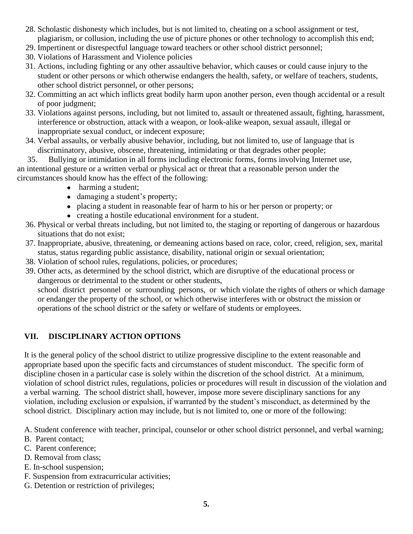- 28. Scholastic dishonesty which includes, but is not limited to, cheating on a school assignment or test, plagiarism, or collusion, including the use of picture phones or other technology to accomplish this end;
- 29. Impertinent or disrespectful language toward teachers or other school district personnel;
- 30. Violations of Harassment and Violence policies
- 31. Actions, including fighting or any other assaultive behavior, which causes or could cause injury to the student or other persons or which otherwise endangers the health, safety, or welfare of teachers, students, other school district personnel, or other persons;
- 32. Committing an act which inflicts great bodily harm upon another person, even though accidental or a result of poor judgment;
- 33. Violations against persons, including, but not limited to, assault or threatened assault, fighting, harassment, interference or obstruction, attack with a weapon, or look-alike weapon, sexual assault, illegal or inappropriate sexual conduct, or indecent exposure;
- 34. Verbal assaults, or verbally abusive behavior, including, but not limited to, use of language that is discriminatory, abusive, obscene, threatening, intimidating or that degrades other people;

35. Bullying or intimidation in all forms including electronic forms, forms involving Internet use, an intentional gesture or a written verbal or physical act or threat that a reasonable person under the circumstances should know has the effect of the following:

- harming a student;
- damaging a student's property;
- placing a student in reasonable fear of harm to his or her person or property; or
- creating a hostile educational environment for a student.
- 36. Physical or verbal threats including, but not limited to, the staging or reporting of dangerous or hazardous situations that do not exist;
- 37. Inappropriate, abusive, threatening, or demeaning actions based on race, color, creed, religion, sex, marital status, status regarding public assistance, disability, national origin or sexual orientation;
- 38. Violation of school rules, regulations, policies, or procedures;
- 39. Other acts, as determined by the school district, which are disruptive of the educational process or dangerous or detrimental to the student or other students,

school district personnel or surrounding persons, or which violate the rights of others or which damage or endanger the property of the school, or which otherwise interferes with or obstruct the mission or operations of the school district or the safety or welfare of students or employees.

# **VII. DISCIPLINARY ACTION OPTIONS**

It is the general policy of the school district to utilize progressive discipline to the extent reasonable and appropriate based upon the specific facts and circumstances of student misconduct. The specific form of discipline chosen in a particular case is solely within the discretion of the school district. At a minimum, violation of school district rules, regulations, policies or procedures will result in discussion of the violation and a verbal warning. The school district shall, however, impose more severe disciplinary sanctions for any violation, including exclusion or expulsion, if warranted by the student's misconduct, as determined by the school district. Disciplinary action may include, but is not limited to, one or more of the following:

A. Student conference with teacher, principal, counselor or other school district personnel, and verbal warning;

- B. Parent contact;
- C. Parent conference;
- D. Removal from class;
- E. In-school suspension;
- F. Suspension from extracurricular activities;
- G. Detention or restriction of privileges;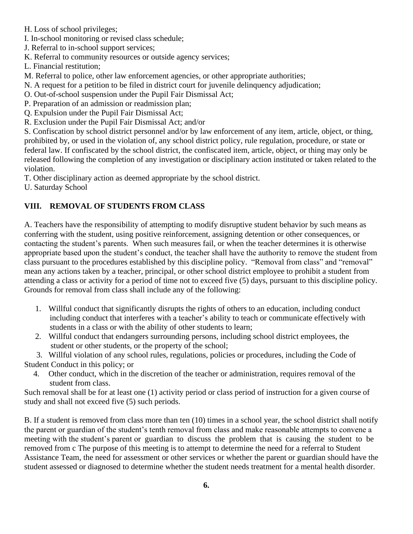- H. Loss of school privileges;
- I. In-school monitoring or revised class schedule;
- J. Referral to in-school support services;
- K. Referral to community resources or outside agency services;
- L. Financial restitution;
- M. Referral to police, other law enforcement agencies, or other appropriate authorities;
- N. A request for a petition to be filed in district court for juvenile delinquency adjudication;
- O. Out-of-school suspension under the Pupil Fair Dismissal Act;
- P. Preparation of an admission or readmission plan;
- Q. Expulsion under the Pupil Fair Dismissal Act;
- R. Exclusion under the Pupil Fair Dismissal Act; and/or

S. Confiscation by school district personnel and/or by law enforcement of any item, article, object, or thing, prohibited by, or used in the violation of, any school district policy, rule regulation, procedure, or state or federal law. If confiscated by the school district, the confiscated item, article, object, or thing may only be released following the completion of any investigation or disciplinary action instituted or taken related to the violation.

T. Other disciplinary action as deemed appropriate by the school district.

U. Saturday School

# **VIII. REMOVAL OF STUDENTS FROM CLASS**

A. Teachers have the responsibility of attempting to modify disruptive student behavior by such means as conferring with the student, using positive reinforcement, assigning detention or other consequences, or contacting the student's parents. When such measures fail, or when the teacher determines it is otherwise appropriate based upon the student's conduct, the teacher shall have the authority to remove the student from class pursuant to the procedures established by this discipline policy. "Removal from class" and "removal" mean any actions taken by a teacher, principal, or other school district employee to prohibit a student from attending a class or activity for a period of time not to exceed five (5) days, pursuant to this discipline policy. Grounds for removal from class shall include any of the following:

- 1. Willful conduct that significantly disrupts the rights of others to an education, including conduct including conduct that interferes with a teacher's ability to teach or communicate effectively with students in a class or with the ability of other students to learn;
- 2. Willful conduct that endangers surrounding persons, including school district employees, the student or other students, or the property of the school;

3. Willful violation of any school rules, regulations, policies or procedures, including the Code of

Student Conduct in this policy; or

4. Other conduct, which in the discretion of the teacher or administration, requires removal of the student from class.

Such removal shall be for at least one (1) activity period or class period of instruction for a given course of study and shall not exceed five (5) such periods.

B. If a student is removed from class more than ten (10) times in a school year, the school district shall notify the parent or guardian of the student's tenth removal from class and make reasonable attempts to convene a meeting with the student's parent or guardian to discuss the problem that is causing the student to be removed from c The purpose of this meeting is to attempt to determine the need for a referral to Student Assistance Team, the need for assessment or other services or whether the parent or guardian should have the student assessed or diagnosed to determine whether the student needs treatment for a mental health disorder.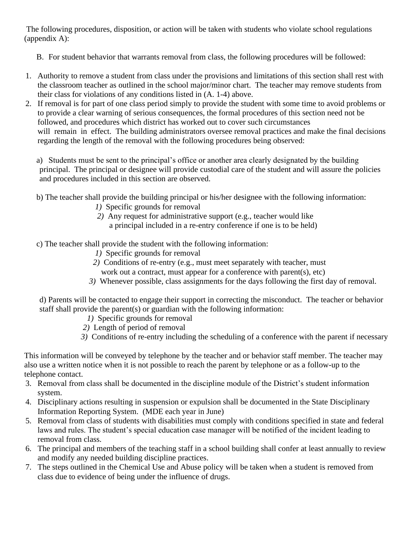The following procedures, disposition, or action will be taken with students who violate school regulations (appendix A):

- B. For student behavior that warrants removal from class, the following procedures will be followed:
- 1. Authority to remove a student from class under the provisions and limitations of this section shall rest with the classroom teacher as outlined in the school major/minor chart. The teacher may remove students from their class for violations of any conditions listed in (A. 1-4) above.
- 2. If removal is for part of one class period simply to provide the student with some time to avoid problems or to provide a clear warning of serious consequences, the formal procedures of this section need not be followed, and procedures which district has worked out to cover such circumstances will remain in effect. The building administrators oversee removal practices and make the final decisions regarding the length of the removal with the following procedures being observed:

a) Students must be sent to the principal's office or another area clearly designated by the building principal. The principal or designee will provide custodial care of the student and will assure the policies and procedures included in this section are observed.

- b) The teacher shall provide the building principal or his/her designee with the following information:
	- *1)* Specific grounds for removal
	- *2)* Any request for administrative support (e.g., teacher would like
		- a principal included in a re-entry conference if one is to be held)
- c) The teacher shall provide the student with the following information:
	- *1)* Specific grounds for removal
	- *2)* Conditions of re-entry (e.g., must meet separately with teacher, must work out a contract, must appear for a conference with parent(s), etc)
	- *3)* Whenever possible, class assignments for the days following the first day of removal.

d) Parents will be contacted to engage their support in correcting the misconduct. The teacher or behavior staff shall provide the parent(s) or guardian with the following information:

- *1)* Specific grounds for removal
- *2)* Length of period of removal
- *3)* Conditions of re-entry including the scheduling of a conference with the parent if necessary

This information will be conveyed by telephone by the teacher and or behavior staff member. The teacher may also use a written notice when it is not possible to reach the parent by telephone or as a follow-up to the telephone contact.

- 3. Removal from class shall be documented in the discipline module of the District's student information system.
- 4. Disciplinary actions resulting in suspension or expulsion shall be documented in the State Disciplinary Information Reporting System. (MDE each year in June)
- 5. Removal from class of students with disabilities must comply with conditions specified in state and federal laws and rules. The student's special education case manager will be notified of the incident leading to removal from class.
- 6. The principal and members of the teaching staff in a school building shall confer at least annually to review and modify any needed building discipline practices.
- 7. The steps outlined in the Chemical Use and Abuse policy will be taken when a student is removed from class due to evidence of being under the influence of drugs.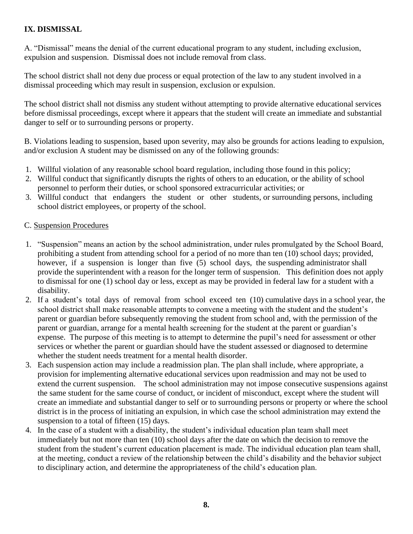#### **IX. DISMISSAL**

A. "Dismissal" means the denial of the current educational program to any student, including exclusion, expulsion and suspension. Dismissal does not include removal from class.

The school district shall not deny due process or equal protection of the law to any student involved in a dismissal proceeding which may result in suspension, exclusion or expulsion.

The school district shall not dismiss any student without attempting to provide alternative educational services before dismissal proceedings, except where it appears that the student will create an immediate and substantial danger to self or to surrounding persons or property.

B. Violations leading to suspension, based upon severity, may also be grounds for actions leading to expulsion, and/or exclusion A student may be dismissed on any of the following grounds:

- 1. Willful violation of any reasonable school board regulation, including those found in this policy;
- 2. Willful conduct that significantly disrupts the rights of others to an education, or the ability of school personnel to perform their duties, or school sponsored extracurricular activities; or
- 3. Willful conduct that endangers the student or other students, or surrounding persons, including school district employees, or property of the school.

#### C. Suspension Procedures

- 1. "Suspension" means an action by the school administration, under rules promulgated by the School Board, prohibiting a student from attending school for a period of no more than ten (10) school days; provided, however, if a suspension is longer than five (5) school days, the suspending administrator shall provide the superintendent with a reason for the longer term of suspension. This definition does not apply to dismissal for one (1) school day or less, except as may be provided in federal law for a student with a disability.
- 2. If a student's total days of removal from school exceed ten (10) cumulative days in a school year, the school district shall make reasonable attempts to convene a meeting with the student and the student's parent or guardian before subsequently removing the student from school and, with the permission of the parent or guardian, arrange for a mental health screening for the student at the parent or guardian's expense. The purpose of this meeting is to attempt to determine the pupil's need for assessment or other services or whether the parent or guardian should have the student assessed or diagnosed to determine whether the student needs treatment for a mental health disorder.
- 3. Each suspension action may include a readmission plan. The plan shall include, where appropriate, a provision for implementing alternative educational services upon readmission and may not be used to extend the current suspension. The school administration may not impose consecutive suspensions against the same student for the same course of conduct, or incident of misconduct, except where the student will create an immediate and substantial danger to self or to surrounding persons or property or where the school district is in the process of initiating an expulsion, in which case the school administration may extend the suspension to a total of fifteen  $(15)$  days.
- 4. In the case of a student with a disability, the student's individual education plan team shall meet immediately but not more than ten (10) school days after the date on which the decision to remove the student from the student's current education placement is made. The individual education plan team shall, at the meeting, conduct a review of the relationship between the child's disability and the behavior subject to disciplinary action, and determine the appropriateness of the child's education plan.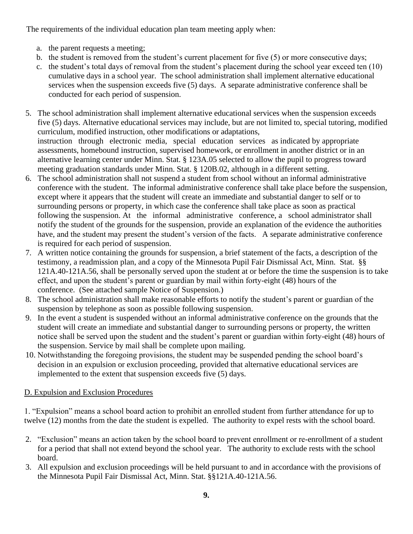The requirements of the individual education plan team meeting apply when:

- a. the parent requests a meeting;
- b. the student is removed from the student's current placement for five (5) or more consecutive days;
- c. the student's total days of removal from the student's placement during the school year exceed ten (10) cumulative days in a school year. The school administration shall implement alternative educational services when the suspension exceeds five (5) days. A separate administrative conference shall be conducted for each period of suspension.
- 5. The school administration shall implement alternative educational services when the suspension exceeds five (5) days. Alternative educational services may include, but are not limited to, special tutoring, modified curriculum, modified instruction, other modifications or adaptations, instruction through electronic media, special education services as indicated by appropriate assessments, homebound instruction, supervised homework, or enrollment in another district or in an alternative learning center under Minn. Stat. § 123A.05 selected to allow the pupil to progress toward meeting graduation standards under Minn. Stat. § 120B.02, although in a different setting.
- 6. The school administration shall not suspend a student from school without an informal administrative conference with the student. The informal administrative conference shall take place before the suspension, except where it appears that the student will create an immediate and substantial danger to self or to surrounding persons or property, in which case the conference shall take place as soon as practical following the suspension. At the informal administrative conference, a school administrator shall notify the student of the grounds for the suspension, provide an explanation of the evidence the authorities have, and the student may present the student's version of the facts. A separate administrative conference is required for each period of suspension.
- 7. A written notice containing the grounds for suspension, a brief statement of the facts, a description of the testimony, a readmission plan, and a copy of the Minnesota Pupil Fair Dismissal Act, Minn. Stat. §§ 121A.40-121A.56, shall be personally served upon the student at or before the time the suspension is to take effect, and upon the student's parent or guardian by mail within forty-eight (48) hours of the conference. (See attached sample Notice of Suspension.)
- 8. The school administration shall make reasonable efforts to notify the student's parent or guardian of the suspension by telephone as soon as possible following suspension.
- 9. In the event a student is suspended without an informal administrative conference on the grounds that the student will create an immediate and substantial danger to surrounding persons or property, the written notice shall be served upon the student and the student's parent or guardian within forty-eight (48) hours of the suspension. Service by mail shall be complete upon mailing.
- 10. Notwithstanding the foregoing provisions, the student may be suspended pending the school board's decision in an expulsion or exclusion proceeding, provided that alternative educational services are implemented to the extent that suspension exceeds five (5) days.

# D. Expulsion and Exclusion Procedures

1. "Expulsion" means a school board action to prohibit an enrolled student from further attendance for up to twelve (12) months from the date the student is expelled. The authority to expel rests with the school board.

- 2. "Exclusion" means an action taken by the school board to prevent enrollment or re-enrollment of a student for a period that shall not extend beyond the school year. The authority to exclude rests with the school board.
- 3. All expulsion and exclusion proceedings will be held pursuant to and in accordance with the provisions of the Minnesota Pupil Fair Dismissal Act, Minn. Stat. §§121A.40-121A.56.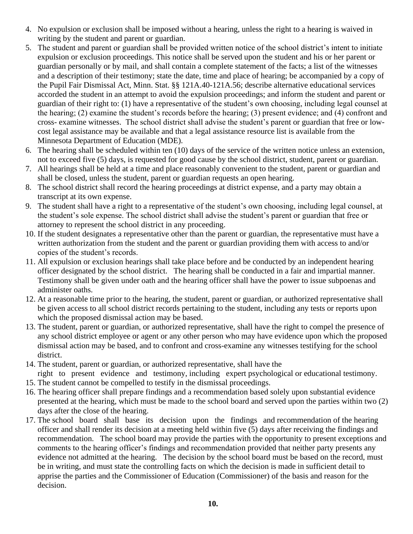- 4. No expulsion or exclusion shall be imposed without a hearing, unless the right to a hearing is waived in writing by the student and parent or guardian.
- 5. The student and parent or guardian shall be provided written notice of the school district's intent to initiate expulsion or exclusion proceedings. This notice shall be served upon the student and his or her parent or guardian personally or by mail, and shall contain a complete statement of the facts; a list of the witnesses and a description of their testimony; state the date, time and place of hearing; be accompanied by a copy of the Pupil Fair Dismissal Act, Minn. Stat. §§ 121A.40-121A.56; describe alternative educational services accorded the student in an attempt to avoid the expulsion proceedings; and inform the student and parent or guardian of their right to: (1) have a representative of the student's own choosing, including legal counsel at the hearing; (2) examine the student's records before the hearing; (3) present evidence; and (4) confront and cross- examine witnesses. The school district shall advise the student's parent or guardian that free or lowcost legal assistance may be available and that a legal assistance resource list is available from the Minnesota Department of Education (MDE).
- 6. The hearing shall be scheduled within ten (10) days of the service of the written notice unless an extension, not to exceed five (5) days, is requested for good cause by the school district, student, parent or guardian.
- 7. All hearings shall be held at a time and place reasonably convenient to the student, parent or guardian and shall be closed, unless the student, parent or guardian requests an open hearing.
- 8. The school district shall record the hearing proceedings at district expense, and a party may obtain a transcript at its own expense.
- 9. The student shall have a right to a representative of the student's own choosing, including legal counsel, at the student's sole expense. The school district shall advise the student's parent or guardian that free or attorney to represent the school district in any proceeding.
- 10. If the student designates a representative other than the parent or guardian, the representative must have a written authorization from the student and the parent or guardian providing them with access to and/or copies of the student's records.
- 11. All expulsion or exclusion hearings shall take place before and be conducted by an independent hearing officer designated by the school district. The hearing shall be conducted in a fair and impartial manner. Testimony shall be given under oath and the hearing officer shall have the power to issue subpoenas and administer oaths.
- 12. At a reasonable time prior to the hearing, the student, parent or guardian, or authorized representative shall be given access to all school district records pertaining to the student, including any tests or reports upon which the proposed dismissal action may be based.
- 13. The student, parent or guardian, or authorized representative, shall have the right to compel the presence of any school district employee or agent or any other person who may have evidence upon which the proposed dismissal action may be based, and to confront and cross-examine any witnesses testifying for the school district.
- 14. The student, parent or guardian, or authorized representative, shall have the right to present evidence and testimony, including expert psychological or educational testimony.
- 15. The student cannot be compelled to testify in the dismissal proceedings.
- 16. The hearing officer shall prepare findings and a recommendation based solely upon substantial evidence presented at the hearing, which must be made to the school board and served upon the parties within two (2) days after the close of the hearing.
- 17. The school board shall base its decision upon the findings and recommendation of the hearing officer and shall render its decision at a meeting held within five (5) days after receiving the findings and recommendation. The school board may provide the parties with the opportunity to present exceptions and comments to the hearing officer's findings and recommendation provided that neither party presents any evidence not admitted at the hearing. The decision by the school board must be based on the record, must be in writing, and must state the controlling facts on which the decision is made in sufficient detail to apprise the parties and the Commissioner of Education (Commissioner) of the basis and reason for the decision.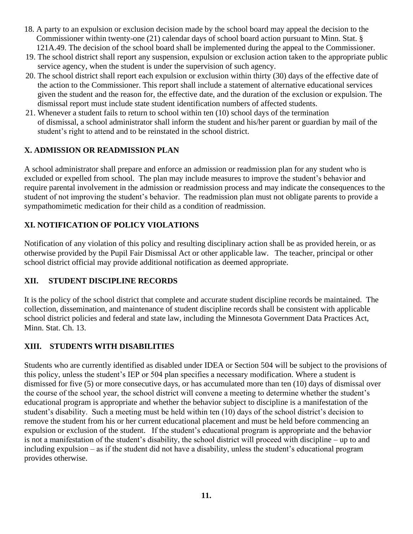- 18. A party to an expulsion or exclusion decision made by the school board may appeal the decision to the Commissioner within twenty-one (21) calendar days of school board action pursuant to Minn. Stat. § 121A.49. The decision of the school board shall be implemented during the appeal to the Commissioner.
- 19. The school district shall report any suspension, expulsion or exclusion action taken to the appropriate public service agency, when the student is under the supervision of such agency.
- 20. The school district shall report each expulsion or exclusion within thirty (30) days of the effective date of the action to the Commissioner. This report shall include a statement of alternative educational services given the student and the reason for, the effective date, and the duration of the exclusion or expulsion. The dismissal report must include state student identification numbers of affected students.
- 21. Whenever a student fails to return to school within ten (10) school days of the termination of dismissal, a school administrator shall inform the student and his/her parent or guardian by mail of the student's right to attend and to be reinstated in the school district.

#### **X. ADMISSION OR READMISSION PLAN**

A school administrator shall prepare and enforce an admission or readmission plan for any student who is excluded or expelled from school. The plan may include measures to improve the student's behavior and require parental involvement in the admission or readmission process and may indicate the consequences to the student of not improving the student's behavior. The readmission plan must not obligate parents to provide a sympathomimetic medication for their child as a condition of readmission.

# **XI. NOTIFICATION OF POLICY VIOLATIONS**

Notification of any violation of this policy and resulting disciplinary action shall be as provided herein, or as otherwise provided by the Pupil Fair Dismissal Act or other applicable law. The teacher, principal or other school district official may provide additional notification as deemed appropriate.

#### **XII. STUDENT DISCIPLINE RECORDS**

It is the policy of the school district that complete and accurate student discipline records be maintained. The collection, dissemination, and maintenance of student discipline records shall be consistent with applicable school district policies and federal and state law, including the Minnesota Government Data Practices Act, Minn. Stat. Ch. 13.

#### **XIII. STUDENTS WITH DISABILITIES**

Students who are currently identified as disabled under IDEA or Section 504 will be subject to the provisions of this policy, unless the student's IEP or 504 plan specifies a necessary modification. Where a student is dismissed for five (5) or more consecutive days, or has accumulated more than ten (10) days of dismissal over the course of the school year, the school district will convene a meeting to determine whether the student's educational program is appropriate and whether the behavior subject to discipline is a manifestation of the student's disability. Such a meeting must be held within ten (10) days of the school district's decision to remove the student from his or her current educational placement and must be held before commencing an expulsion or exclusion of the student. If the student's educational program is appropriate and the behavior is not a manifestation of the student's disability, the school district will proceed with discipline – up to and including expulsion – as if the student did not have a disability, unless the student's educational program provides otherwise.